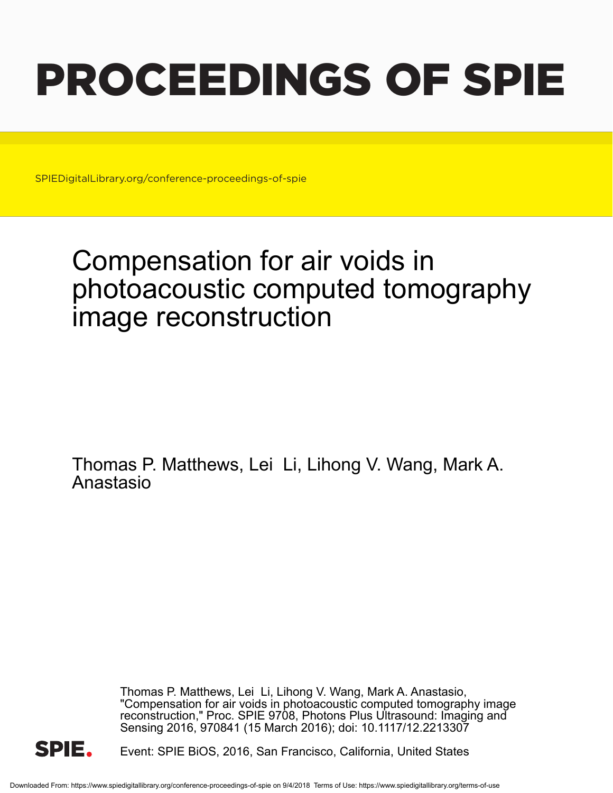# PROCEEDINGS OF SPIE

SPIEDigitalLibrary.org/conference-proceedings-of-spie

## Compensation for air voids in photoacoustic computed tomography image reconstruction

Thomas P. Matthews, Lei Li, Lihong V. Wang, Mark A. Anastasio

> Thomas P. Matthews, Lei Li, Lihong V. Wang, Mark A. Anastasio, "Compensation for air voids in photoacoustic computed tomography image reconstruction," Proc. SPIE 9708, Photons Plus Ultrasound: Imaging and Sensing 2016, 970841 (15 March 2016); doi: 10.1117/12.2213307



Event: SPIE BiOS, 2016, San Francisco, California, United States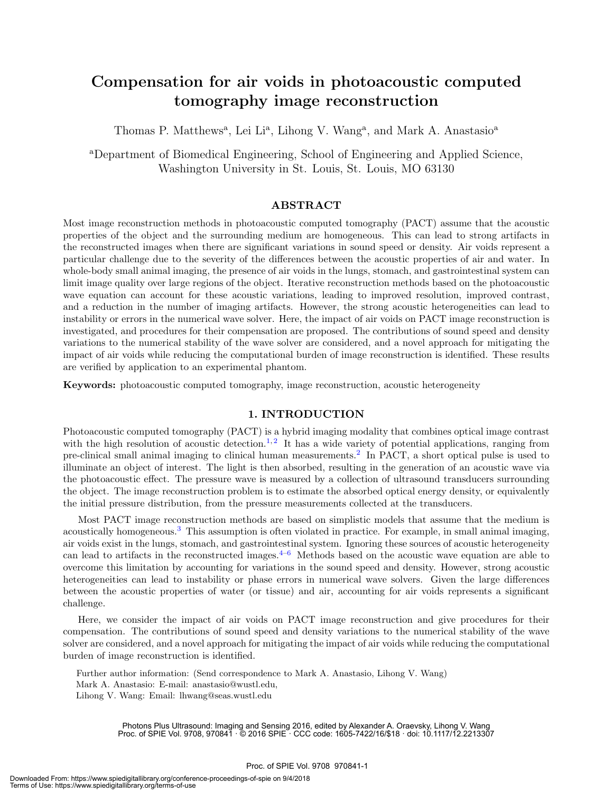### Compensation for air voids in photoacoustic computed tomography image reconstruction

Thomas P. Matthews<sup>a</sup>, Lei Li<sup>a</sup>, Lihong V. Wang<sup>a</sup>, and Mark A. Anastasio<sup>a</sup>

<sup>a</sup>Department of Biomedical Engineering, School of Engineering and Applied Science, Washington University in St. Louis, St. Louis, MO 63130

#### ABSTRACT

Most image reconstruction methods in photoacoustic computed tomography (PACT) assume that the acoustic properties of the object and the surrounding medium are homogeneous. This can lead to strong artifacts in the reconstructed images when there are significant variations in sound speed or density. Air voids represent a particular challenge due to the severity of the differences between the acoustic properties of air and water. In whole-body small animal imaging, the presence of air voids in the lungs, stomach, and gastrointestinal system can limit image quality over large regions of the object. Iterative reconstruction methods based on the photoacoustic wave equation can account for these acoustic variations, leading to improved resolution, improved contrast, and a reduction in the number of imaging artifacts. However, the strong acoustic heterogeneities can lead to instability or errors in the numerical wave solver. Here, the impact of air voids on PACT image reconstruction is investigated, and procedures for their compensation are proposed. The contributions of sound speed and density variations to the numerical stability of the wave solver are considered, and a novel approach for mitigating the impact of air voids while reducing the computational burden of image reconstruction is identified. These results are verified by application to an experimental phantom.

Keywords: photoacoustic computed tomography, image reconstruction, acoustic heterogeneity

#### 1. INTRODUCTION

Photoacoustic computed tomography (PACT) is a hybrid imaging modality that combines optical image contrast with the high resolution of acoustic detection.<sup>1,2</sup> It has a wide variety of potential applications, ranging from pre-clinical small animal imaging to clinical human measurements.<sup>2</sup> In PACT, a short optical pulse is used to illuminate an object of interest. The light is then absorbed, resulting in the generation of an acoustic wave via the photoacoustic effect. The pressure wave is measured by a collection of ultrasound transducers surrounding the object. The image reconstruction problem is to estimate the absorbed optical energy density, or equivalently the initial pressure distribution, from the pressure measurements collected at the transducers.

Most PACT image reconstruction methods are based on simplistic models that assume that the medium is acoustically homogeneous.<sup>3</sup> This assumption is often violated in practice. For example, in small animal imaging, air voids exist in the lungs, stomach, and gastrointestinal system. Ignoring these sources of acoustic heterogeneity can lead to artifacts in the reconstructed images. $4-6$  Methods based on the acoustic wave equation are able to overcome this limitation by accounting for variations in the sound speed and density. However, strong acoustic heterogeneities can lead to instability or phase errors in numerical wave solvers. Given the large differences between the acoustic properties of water (or tissue) and air, accounting for air voids represents a significant challenge.

Here, we consider the impact of air voids on PACT image reconstruction and give procedures for their compensation. The contributions of sound speed and density variations to the numerical stability of the wave solver are considered, and a novel approach for mitigating the impact of air voids while reducing the computational burden of image reconstruction is identified.

Further author information: (Send correspondence to Mark A. Anastasio, Lihong V. Wang) Mark A. Anastasio: E-mail: anastasio@wustl.edu, Lihong V. Wang: Email: lhwang@seas.wustl.edu

> Photons Plus Ultrasound: Imaging and Sensing 2016, edited by Alexander A. Oraevsky, Lihong V. Wang Proc. of SPIE Vol. 9708, 970841 · © 2016 SPIE · CCC code: 1605-7422/16/\$18 · doi: 10.1117/12.2213307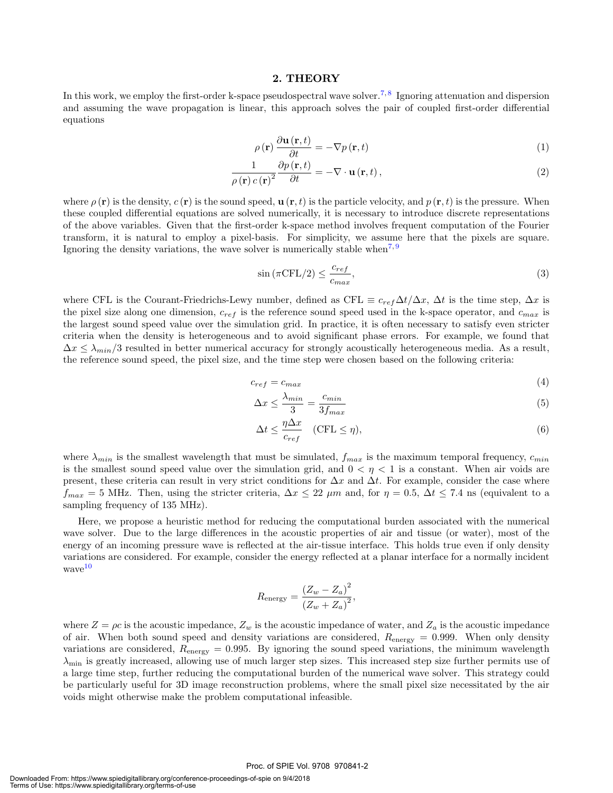#### 2. THEORY

In this work, we employ the first-order k-space pseudospectral wave solver.<sup>7,8</sup> Ignoring attenuation and dispersion and assuming the wave propagation is linear, this approach solves the pair of coupled first-order differential equations

$$
\rho(\mathbf{r})\frac{\partial \mathbf{u}(\mathbf{r},t)}{\partial t} = -\nabla p(\mathbf{r},t)
$$
\n(1)

$$
\frac{1}{\rho(\mathbf{r}) c(\mathbf{r})^2} \frac{\partial p(\mathbf{r}, t)}{\partial t} = -\nabla \cdot \mathbf{u}(\mathbf{r}, t),
$$
\n(2)

where  $\rho(\mathbf{r})$  is the density,  $c(\mathbf{r})$  is the sound speed,  $\mathbf{u}(\mathbf{r},t)$  is the particle velocity, and  $p(\mathbf{r},t)$  is the pressure. When these coupled differential equations are solved numerically, it is necessary to introduce discrete representations of the above variables. Given that the first-order k-space method involves frequent computation of the Fourier transform, it is natural to employ a pixel-basis. For simplicity, we assume here that the pixels are square. Ignoring the density variations, the wave solver is numerically stable when  $^{7,9}$ 

$$
\sin\left(\pi \text{CFL}/2\right) \le \frac{c_{ref}}{c_{max}},\tag{3}
$$

where CFL is the Courant-Friedrichs-Lewy number, defined as CFL  $\equiv c_{ref}\Delta t/\Delta x$ ,  $\Delta t$  is the time step,  $\Delta x$  is the pixel size along one dimension,  $c_{ref}$  is the reference sound speed used in the k-space operator, and  $c_{max}$  is the largest sound speed value over the simulation grid. In practice, it is often necessary to satisfy even stricter criteria when the density is heterogeneous and to avoid significant phase errors. For example, we found that  $\Delta x \leq \lambda_{min}/3$  resulted in better numerical accuracy for strongly acoustically heterogeneous media. As a result, the reference sound speed, the pixel size, and the time step were chosen based on the following criteria:

$$
c_{ref} = c_{max} \tag{4}
$$

$$
\Delta x \le \frac{\lambda_{min}}{3} = \frac{c_{min}}{3f_{max}}\tag{5}
$$

$$
\Delta t \le \frac{\eta \Delta x}{c_{ref}} \quad (\text{CFL} \le \eta), \tag{6}
$$

where  $\lambda_{min}$  is the smallest wavelength that must be simulated,  $f_{max}$  is the maximum temporal frequency,  $c_{min}$ is the smallest sound speed value over the simulation grid, and  $0 < \eta < 1$  is a constant. When air voids are present, these criteria can result in very strict conditions for  $\Delta x$  and  $\Delta t$ . For example, consider the case where  $f_{max} = 5$  MHz. Then, using the stricter criteria,  $\Delta x \le 22 \ \mu m$  and, for  $\eta = 0.5$ ,  $\Delta t \le 7.4$  ns (equivalent to a sampling frequency of 135 MHz).

Here, we propose a heuristic method for reducing the computational burden associated with the numerical wave solver. Due to the large differences in the acoustic properties of air and tissue (or water), most of the energy of an incoming pressure wave is reflected at the air-tissue interface. This holds true even if only density variations are considered. For example, consider the energy reflected at a planar interface for a normally incident wave<sup>10</sup>

$$
R_{\text{energy}} = \frac{(Z_w - Z_a)^2}{(Z_w + Z_a)^2},
$$

where  $Z = \rho c$  is the acoustic impedance,  $Z_w$  is the acoustic impedance of water, and  $Z_a$  is the acoustic impedance of air. When both sound speed and density variations are considered,  $R_{\text{energy}} = 0.999$ . When only density variations are considered,  $R_{\text{energy}} = 0.995$ . By ignoring the sound speed variations, the minimum wavelength  $\lambda_{\text{min}}$  is greatly increased, allowing use of much larger step sizes. This increased step size further permits use of a large time step, further reducing the computational burden of the numerical wave solver. This strategy could be particularly useful for 3D image reconstruction problems, where the small pixel size necessitated by the air voids might otherwise make the problem computational infeasible.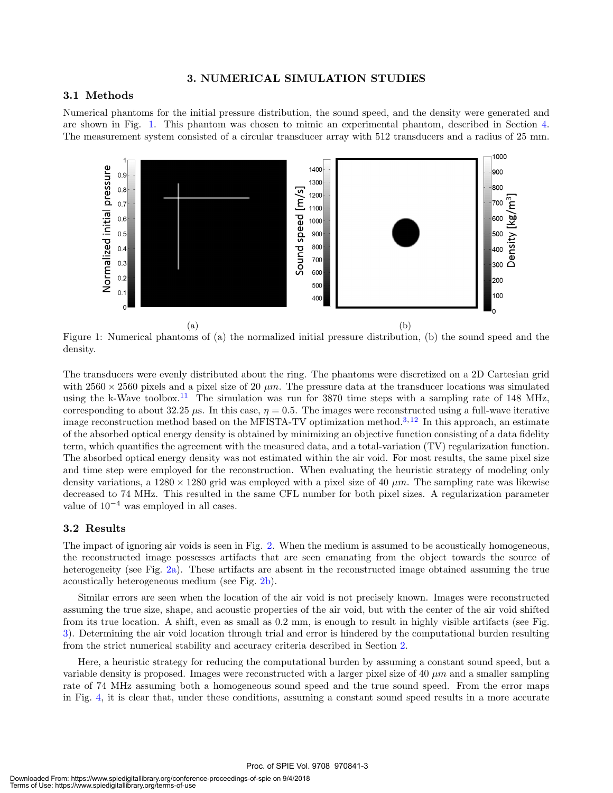#### 3. NUMERICAL SIMULATION STUDIES

#### 3.1 Methods

Numerical phantoms for the initial pressure distribution, the sound speed, and the density were generated and are shown in Fig. 1. This phantom was chosen to mimic an experimental phantom, described in Section 4. The measurement system consisted of a circular transducer array with 512 transducers and a radius of 25 mm.



Figure 1: Numerical phantoms of (a) the normalized initial pressure distribution, (b) the sound speed and the density.

The transducers were evenly distributed about the ring. The phantoms were discretized on a 2D Cartesian grid with  $2560 \times 2560$  pixels and a pixel size of 20  $\mu$ m. The pressure data at the transducer locations was simulated using the k-Wave toolbox.<sup>11</sup> The simulation was run for 3870 time steps with a sampling rate of 148 MHz, corresponding to about 32.25  $\mu$ s. In this case,  $\eta = 0.5$ . The images were reconstructed using a full-wave iterative image reconstruction method based on the MFISTA-TV optimization method.<sup>3,12</sup> In this approach, an estimate of the absorbed optical energy density is obtained by minimizing an objective function consisting of a data fidelity term, which quantifies the agreement with the measured data, and a total-variation (TV) regularization function. The absorbed optical energy density was not estimated within the air void. For most results, the same pixel size and time step were employed for the reconstruction. When evaluating the heuristic strategy of modeling only density variations, a  $1280 \times 1280$  grid was employed with a pixel size of 40  $\mu$ m. The sampling rate was likewise decreased to 74 MHz. This resulted in the same CFL number for both pixel sizes. A regularization parameter value of  $10^{-4}$  was employed in all cases.

#### 3.2 Results

The impact of ignoring air voids is seen in Fig. 2. When the medium is assumed to be acoustically homogeneous, the reconstructed image possesses artifacts that are seen emanating from the object towards the source of heterogeneity (see Fig. 2a). These artifacts are absent in the reconstructed image obtained assuming the true acoustically heterogeneous medium (see Fig. 2b).

Similar errors are seen when the location of the air void is not precisely known. Images were reconstructed assuming the true size, shape, and acoustic properties of the air void, but with the center of the air void shifted from its true location. A shift, even as small as 0.2 mm, is enough to result in highly visible artifacts (see Fig. 3). Determining the air void location through trial and error is hindered by the computational burden resulting from the strict numerical stability and accuracy criteria described in Section 2.

Here, a heuristic strategy for reducing the computational burden by assuming a constant sound speed, but a variable density is proposed. Images were reconstructed with a larger pixel size of 40  $\mu$ m and a smaller sampling rate of 74 MHz assuming both a homogeneous sound speed and the true sound speed. From the error maps in Fig. 4, it is clear that, under these conditions, assuming a constant sound speed results in a more accurate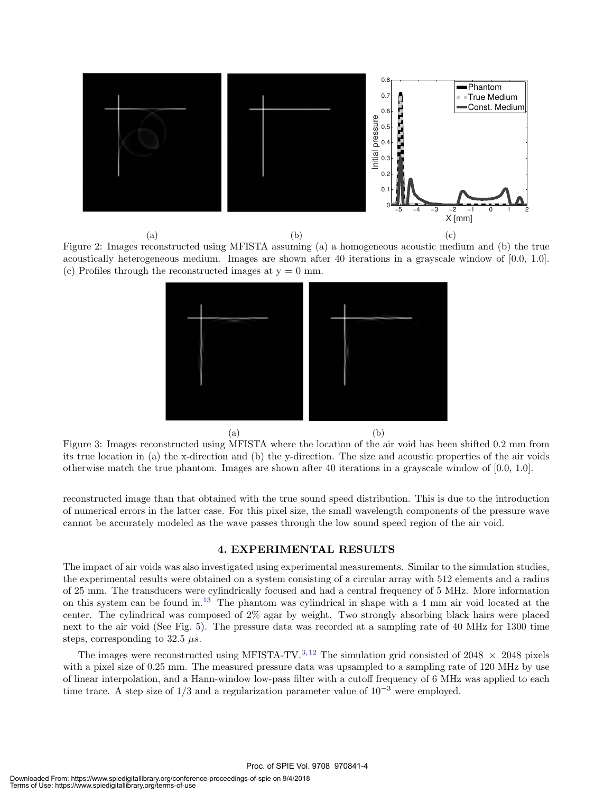

Figure 2: Images reconstructed using MFISTA assuming (a) a homogeneous acoustic medium and (b) the true acoustically heterogeneous medium. Images are shown after 40 iterations in a grayscale window of [0.0, 1.0]. (c) Profiles through the reconstructed images at  $y = 0$  mm.



Figure 3: Images reconstructed using MFISTA where the location of the air void has been shifted 0.2 mm from its true location in (a) the x-direction and (b) the y-direction. The size and acoustic properties of the air voids otherwise match the true phantom. Images are shown after 40 iterations in a grayscale window of [0.0, 1.0].

reconstructed image than that obtained with the true sound speed distribution. This is due to the introduction of numerical errors in the latter case. For this pixel size, the small wavelength components of the pressure wave cannot be accurately modeled as the wave passes through the low sound speed region of the air void.

#### 4. EXPERIMENTAL RESULTS

The impact of air voids was also investigated using experimental measurements. Similar to the simulation studies, the experimental results were obtained on a system consisting of a circular array with 512 elements and a radius of 25 mm. The transducers were cylindrically focused and had a central frequency of 5 MHz. More information on this system can be found in.<sup>13</sup> The phantom was cylindrical in shape with a 4 mm air void located at the center. The cylindrical was composed of 2% agar by weight. Two strongly absorbing black hairs were placed next to the air void (See Fig. 5). The pressure data was recorded at a sampling rate of 40 MHz for 1300 time steps, corresponding to 32.5  $\mu s$ .

The images were reconstructed using MFISTA-TV.<sup>3,12</sup> The simulation grid consisted of 2048  $\times$  2048 pixels with a pixel size of 0.25 mm. The measured pressure data was upsampled to a sampling rate of 120 MHz by use of linear interpolation, and a Hann-window low-pass filter with a cutoff frequency of 6 MHz was applied to each time trace. A step size of  $1/3$  and a regularization parameter value of  $10^{-3}$  were employed.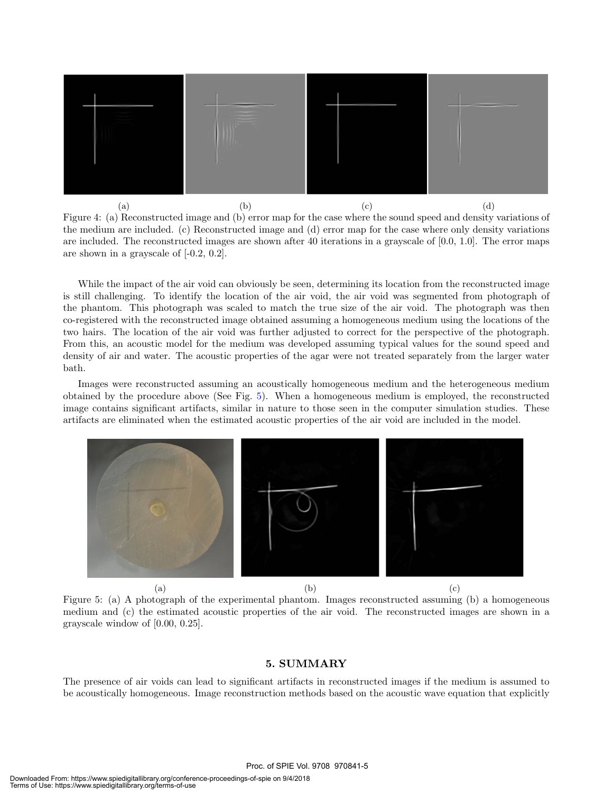

Figure 4: (a) Reconstructed image and (b) error map for the case where the sound speed and density variations of the medium are included. (c) Reconstructed image and (d) error map for the case where only density variations are included. The reconstructed images are shown after 40 iterations in a grayscale of [0.0, 1.0]. The error maps are shown in a grayscale of [-0.2, 0.2].

While the impact of the air void can obviously be seen, determining its location from the reconstructed image is still challenging. To identify the location of the air void, the air void was segmented from photograph of the phantom. This photograph was scaled to match the true size of the air void. The photograph was then co-registered with the reconstructed image obtained assuming a homogeneous medium using the locations of the two hairs. The location of the air void was further adjusted to correct for the perspective of the photograph. From this, an acoustic model for the medium was developed assuming typical values for the sound speed and density of air and water. The acoustic properties of the agar were not treated separately from the larger water bath.

Images were reconstructed assuming an acoustically homogeneous medium and the heterogeneous medium obtained by the procedure above (See Fig. 5). When a homogeneous medium is employed, the reconstructed image contains significant artifacts, similar in nature to those seen in the computer simulation studies. These artifacts are eliminated when the estimated acoustic properties of the air void are included in the model.



Figure 5: (a) A photograph of the experimental phantom. Images reconstructed assuming (b) a homogeneous medium and (c) the estimated acoustic properties of the air void. The reconstructed images are shown in a grayscale window of [0.00, 0.25].

#### 5. SUMMARY

The presence of air voids can lead to significant artifacts in reconstructed images if the medium is assumed to be acoustically homogeneous. Image reconstruction methods based on the acoustic wave equation that explicitly